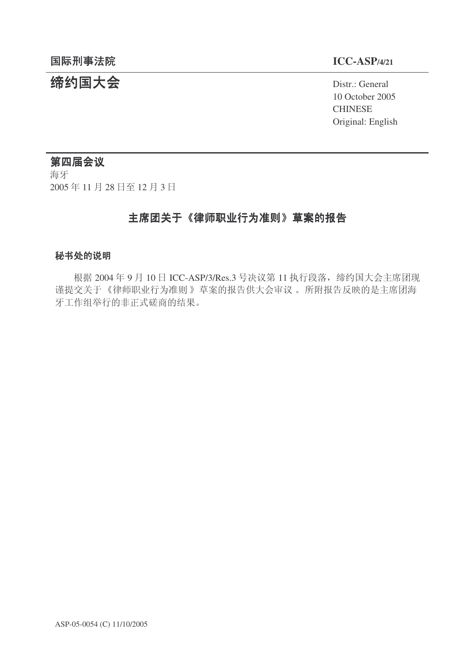# **缔约国大会**<br>◆ Distr.: General

10 October 2005 **CHINESE** Original: English

# 第四届会议

海牙 2005年11月28日至12月3日

# 主席团关于《律师职业行为准则》草案的报告

### 秘书处的说明

根据 2004年9月10日 ICC-ASP/3/Res.3 号决议第 11 执行段落, 缔约国大会主席团现 谨提交关于《律师职业行为准则》草案的报告供大会审议。所附报告反映的是主席团海 牙工作组举行的非正式磋商的结果。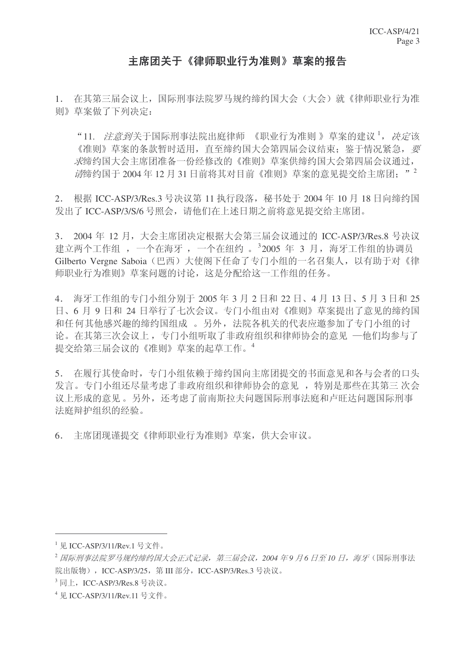# 主席团关于《律师职业行为准则》草案的报告

1. 在其第三届会议上, 国际刑事法院罗马规约缔约国大会(大会)就《律师职业行为准 则》草案做了下列决定:

"11. *注意到*关于国际刑事法院出庭律师 《职业行为准则》草案的建议<sup>1</sup>, *决定*该 《准则》草案的条款暂时适用, 直至缔约国大会第四届会议结束; 鉴于情况紧急, 要 太缔约国大会主席团准备一份经修改的《准则》草案供缔约国大会第四届会议通过,  $\vec{a}$ 缔约国于 2004 年 12 月 31 日前将其对目前《准则》草案的意见提交给主席团: "

2. 根据 ICC-ASP/3/Res.3 号决议第 11 执行段落, 秘书处于 2004 年 10 月 18 日向缔约国 发出了 ICC-ASP/3/S/6 号照会, 请他们在上述日期之前将意见提交给主席团。

 $3.$  2004年12月,大会主席团决定根据大会第三届会议通过的 ICC-ASP/3/Res.8 号决议 建立两个工作组 ,一个在海牙 ,一个在纽约 。<sup>3</sup>2005 年 3 月,海牙工作组的协调员 Gilberto Vergne Saboia (巴西) 大使阁下任命了专门小组的一名召集人, 以有助于对《律 师职业行为准则》草案问题的讨论, 这是分配给这一工作组的任务。

4. 海牙工作组的专门小组分别于 2005 年 3 月 2 日和 22 日、4 月 13 日、5 月 3 日和 25 日、6月9日和24日举行了七次会议。专门小组由对《准则》草案提出了意见的缔约国 和任何其他感兴趣的缔约国组成。另外, 法院各机关的代表应邀参加了专门小组的讨 论。在其第三次会议上,专门小组听取了非政府组织和律师协会的意见 一他们均参与了 提交给第三届会议的《准则》草案的起草工作。4

5. 在履行其使命时,专门小组依赖于缔约国向主席团提交的书面意见和各与会者的口头 发言。专门小组还尽量考虑了非政府组织和律师协会的意见, 特别是那些在其第三次会 议上形成的意见。另外, 还考虑了前南斯拉夫问题国际刑事法庭和卢旺达问题国际刑事 法庭辩护组织的经验。

6. 主席团现谨提交《律师职业行为准则》草案, 供大会审议。

 $1 \overline{W}$  ICC-ASP/3/11/Rev.1 号文件。

<sup>&</sup>lt;sup>2</sup> 国际刑事法院罗马规约缔约国大会正式记录, 第三届会议, 2004 年9 月6 日至10 日, 海牙(国际刑事法 院出版物), ICC-ASP/3/25, 第 III 部分, ICC-ASP/3/Res.3 号决议。

<sup>&</sup>lt;sup>3</sup>同上, ICC-ASP/3/Res.8 号决议。

 $4 \overline{R}$  ICC-ASP/3/11/Rev.11 号文件。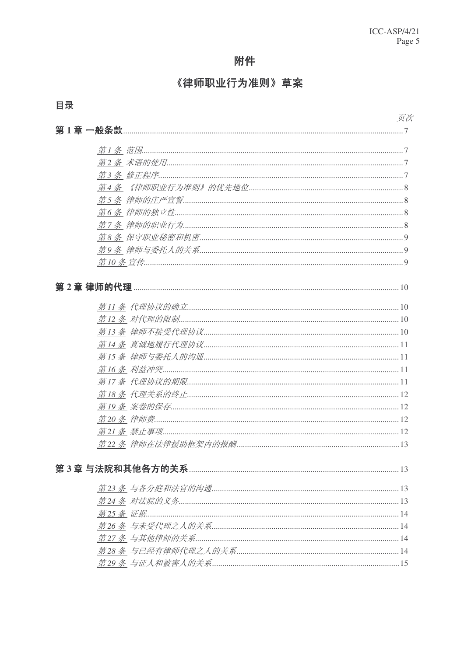# 附件

# 《律师职业行为准则》草案

# 页次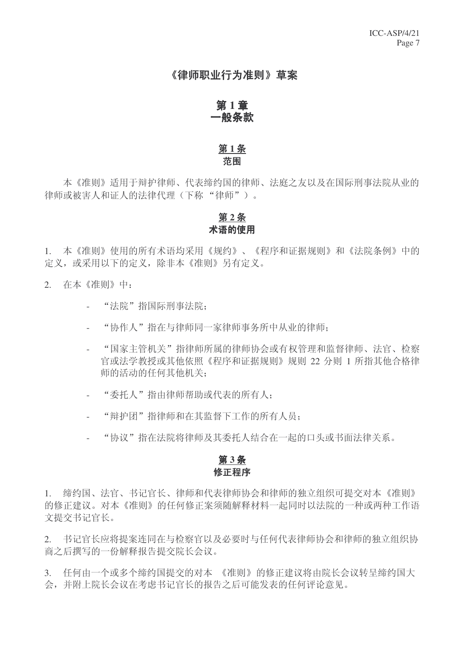### 《律师职业行为准则》草案

#### 第1章 一般条款

### 第1条 范围

本《准则》适用于辩护律师、代表缔约国的律师、法庭之友以及在国际刑事法院从业的 律师或被害人和证人的法律代理(下称"律师")。

### 第2条 术语的使用

1. 本《准则》使用的所有术语均采用《规约》、《程序和证据规则》和《法院条例》中的 定义, 或采用以下的定义, 除非本《准则》另有定义。

- 2. 在本《准则》中:
	- "法院"指国际刑事法院:
	- "协作人"指在与律师同一家律师事务所中从业的律师:
	- "国家主管机关"指律师所属的律师协会或有权管理和监督律师、法官、检察 官或法学教授或其他依照《程序和证据规则》规则 22 分则 1 所指其他合格律 师的活动的任何其他机关;
	- "委托人"指由律师帮助或代表的所有人:
	- "辩护团"指律师和在其监督下工作的所有人员:
	- "协议"指在法院将律师及其委托人结合在一起的口头或书面法律关系。

### 第3条 修正程序

1. 缔约国、法官、书记官长、律师和代表律师协会和律师的独立组织可提交对本《准则》 的修正建议。对本《准则》的任何修正案须随解释材料一起同时以法院的一种或两种工作语 文提交书记官长。

2. 书记官长应将提案连同在与检察官以及必要时与任何代表律师协会和律师的独立组织协 商之后撰写的一份解释报告提交院长会议。

3. 任何由一个或多个缔约国提交的对本 《准则》的修正建议将由院长会议转呈缔约国大 会,并附上院长会议在考虑书记官长的报告之后可能发表的任何评论意见。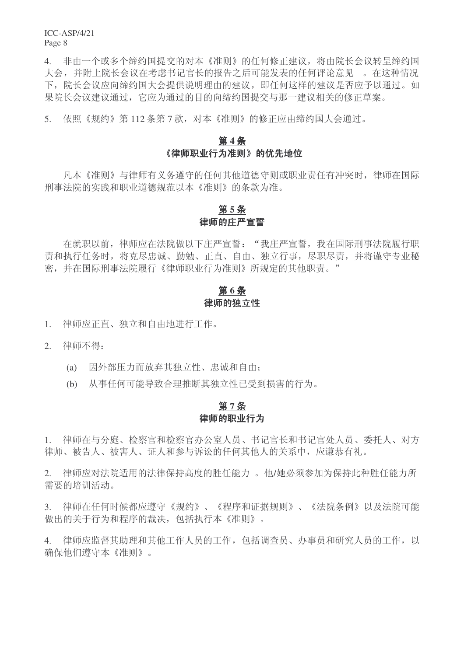4. 非由一个或多个缔约国提交的对本《准则》的任何修正建议,将由院长会议转呈缔约国 大会,并附上院长会议在考虑书记官长的报告之后可能发表的任何评论意见。在这种情况 下,院长会议应向缔约国大会提供说明理由的建议,即任何这样的建议是否应予以通过。如 果院长会议建议通过,它应为通过的目的向缔约国提交与那一建议相关的修正草案。

5. 依照《规约》第112条第7款, 对本《准则》的修正应由缔约国大会通过。

# 第4条 《律师职业行为准则》的优先地位

凡本《准则》与律师有义务遵守的任何其他道德守则或职业责任有冲突时,律师在国际 刑事法院的实践和职业道德规范以本《准则》的条款为准。

### 第5条 律师的庄严宣誓

在就职以前, 律师应在法院做以下庄严宣誓: "我庄严宣誓, 我在国际刑事法院履行职 责和执行任务时, 将克尽忠诚、勤勉、正直、自由、独立行事, 尽职尽责, 并将谨守专业秘 密,并在国际刑事法院履行《律师职业行为准则》所规定的其他职责。"

# 第6条 律师的独立性

1. 律师应正直、独立和自由地进行工作。

2. 律师不得:

- (a) 因外部压力而放弃其独立性、忠诚和自由:
- (b) 从事任何可能导致合理推断其独立性已受到损害的行为。

### 第7条 律师的职业行为

1. 律师在与分庭、检察官和检察官办公室人员、书记官长和书记官处人员、委托人、对方 律师、被告人、被害人、证人和参与诉讼的任何其他人的关系中,应谦恭有礼。

2. 律师应对法院适用的法律保持高度的胜任能力。他/她必须参加为保持此种胜任能力所 需要的培训活动。

3. 律师在任何时候都应遵守《规约》、《程序和证据规则》、《法院条例》以及法院可能 做出的关于行为和程序的裁决, 句括执行本《准则》。

4. 律师应监督其助理和其他工作人员的工作, 包括调查员、办事员和研究人员的工作, 以 确保他们遵守本《准则》。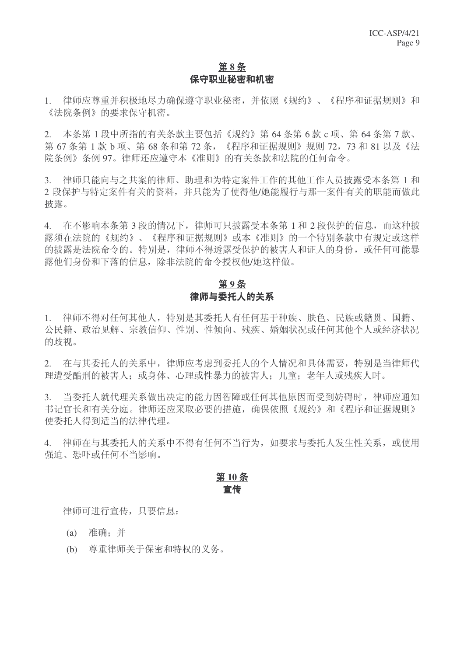### 第8条 保守职业秘密和机密

1. 律师应尊重并积极地尽力确保遵守职业秘密,并依照《规约》、《程序和证据规则》和 《法院条例》的要求保守机密。

2. 本条第1段中所指的有关条款主要包括《规约》第64条第6款c项、第64条第7款、 第 67 条第 1 款 b 项、第 68 条和第 72 条, 《程序和证据规则》规则 72, 73 和 81 以及《法 院条例》条例 97。律师还应遵守本《准则》的有关条款和法院的任何命令。

3. 律师只能向与之共案的律师、助理和为特定案件工作的其他工作人员披露受本条第1和 2 段保护与特定案件有关的资料,并只能为了使得他/她能履行与那一案件有关的职能而做此 披露。

4. 在不影响本条第3段的情况下,律师可只披露受本条第1和2段保护的信息,而这种披 露须在法院的《规约》、《程序和证据规则》或本《准则》的一个特别条款中有规定或这样 的披露是法院命令的。特别是, 律师不得透露受保护的被害人和证人的身份, 或任何可能暴 露他们身份和下落的信息, 除非法院的命令授权他/她这样做。

### 第9条 律师与委托人的关系

1. 律师不得对任何其他人,特别是其委托人有任何基于种族、肤色、民族或籍贯、国籍、 公民籍、政治见解、宗教信仰、性别、性倾向、残疾、婚姻状况或任何其他个人或经济状况 的歧视。

2. 在与其委托人的关系中, 律师应考虑到委托人的个人情况和具体需要, 特别是当律师代 理遭受酷刑的被害人; 或身体、心理或性暴力的被害人; 儿童; 老年人或残疾人时。

3. 当委托人就代理关系做出决定的能力因智障或任何其他原因而受到妨碍时, 律师应通知 书记官长和有关分庭。律师还应采取必要的措施,确保依照《规约》和《程序和证据规则》 使委托人得到适当的法律代理。

4. 律师在与其委托人的关系中不得有任何不当行为, 如要求与委托人发生性关系, 或使用 强迫、恐吓或任何不当影响。

### 第10条 宣传

律师可讲行宣传, 只要信息:

(a) 准确: 并

(b) 尊重律师关于保密和特权的义务。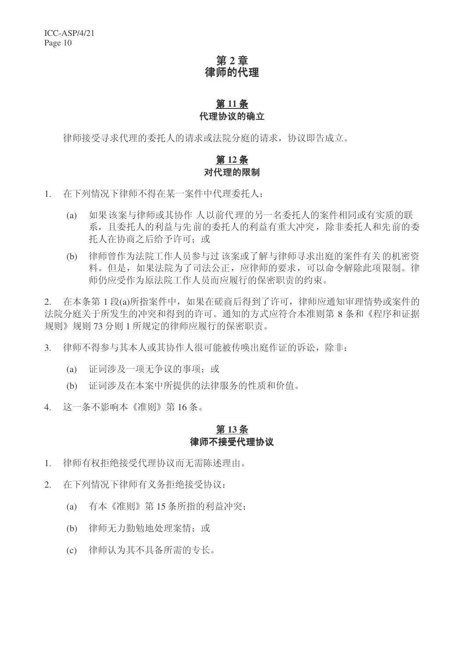# 第2章 律师的代理

# 第11条 代理协议的确立

律师接受寻求代理的委托人的请求或法院分庭的请求, 协议即告成立。

# 第12条 对代理的限制

- 1. 在下列情况下律师不得在某一案件中代理委托人:
	- (a) 如果该案与律师或其协作 人以前代理的另一名委托人的案件相同或有实质的联 系,目委托人的利益有重大冲突,除非委托人和先前的委 托人在协商之后给予许可: 或
	- (b) 律师曾作为法院工作人员参与过该案或了解与律师寻求出庭的案件有关的机密资 料。但是, 如果法院为了司法公正, 应律师的要求, 可以命令解除此项限制。律 师仍应受作为原法院工作人员而应履行的保密职责的约束。

2. 在本条第 1 段(a)所指案件中, 如果在磋商后得到了许可, 律师应通知审理情势或案件的 法院分庭关于所发生的冲突和得到的许可。通知的方式应符合本准则第8条和《程序和证据 规则》规则 73 分则 1 所规定的律师应履行的保密职责。

- 3. 律师不得参与其本人或其协作人很可能被传唤出庭作证的诉讼,除非:
	- (a) 证词涉及一项无争议的事项: 或
	- (b) 证词涉及在本案中所提供的法律服务的性质和价值。
- 4. 这一条不影响本《准则》第16条。

### 第13条 律师不接受代理协议

- 1. 律师有权拒绝接受代理协议而无需陈述理由。
- 2. 在下列情况下律师有义务拒绝接受协议:
	- (a) 有本《准则》第15 条所指的利益冲突;
	- (b) 律师无力勤勉地处理案情: 或
	- (c) 律师认为其不具备所需的专长。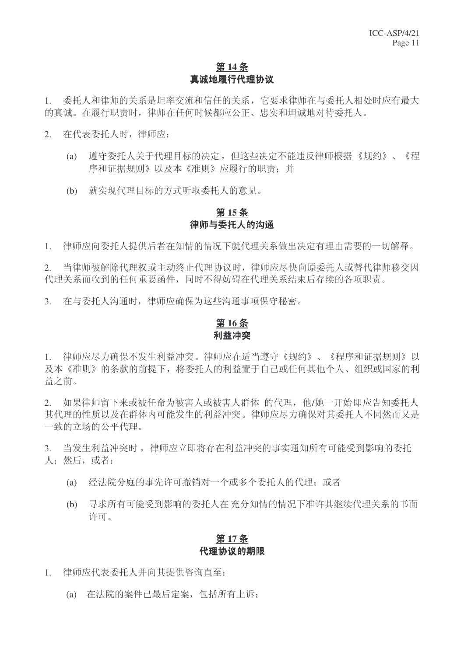### 第14条 真诚地履行代理协议

1. 委托人和律师的关系是坦率交流和信任的关系,它要求律师在与委托人相处时应有最大 的真诚。在履行职责时, 律师在任何时候都应公正、忠实和坦诚地对待委托人。

- 2. 在代表委托人时, 律师应:
	- (a) 遵守委托人关于代理目标的决定, 但这些决定不能违反律师根据《规约》、《程 序和证据规则》以及本《准则》应履行的职责:并
	- (b) 就实现代理目标的方式听取委托人的意见。

### 第15条 律师与委托人的沟通

1. 律师应向委托人提供后者在知情的情况下就代理关系做出决定有理由需要的一切解释。

2. 当律师被解除代理权或主动终止代理协议时, 律师应尽快向原委托人或替代律师移交因 代理关系而收到的任何重要函件,同时不得妨碍在代理关系结束后存续的各项职责。

3. 在与委托人沟通时, 律师应确保为这些沟通事项保守秘密。

### 第16条 利益冲突

1. 律师应尽力确保不发生利益冲突。律师应在适当遵守《规约》、《程序和证据规则》以 及本《准则》的条款的前提下,将委托人的利益置于自己或任何其他个人、组织或国家的利 益之前。

2. 如果律师留下来或被任命为被害人或被害人群体 的代理, 他/她一开始即应告知委托人 其代理的性质以及在群体内可能发生的利益冲突。律师应尽力确保对其委托人不同然而又是 一致的立场的公平代理。

3. 当发生利益冲突时, 律师应立即将存在利益冲突的事实通知所有可能受到影响的委托 人: 然后, 或者:

- (a) 经法院分庭的事先许可撤销对一个或多个委托人的代理: 或者
- (b) 寻求所有可能受到影响的委托人在充分知情的情况下准许其继续代理关系的书面 许可。

#### 第17条 代理协议的期限

- 1. 律师应代表委托人并向其提供咨询直至:
	- (a) 在法院的案件已最后定案, 包括所有上诉: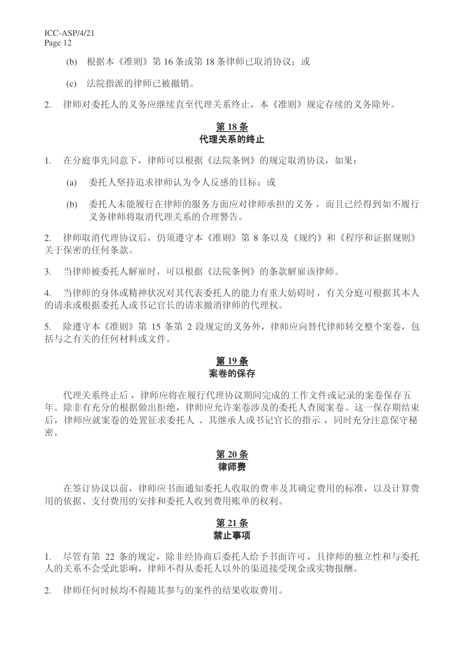- (b) 根据本《准则》第16条或第18条律师已取消协议: 或
- (c) 法院指派的律师已被撤销。

2. 律师对委托人的义务应继续直至代理关系终止,本《准则》规定存续的义务除外。

### 第18条 代理关系的终止

- 1. 在分庭事先同意下,律师可以根据《法院条例》的规定取消协议,如果:
	- (a) 委托人坚持追求律师认为令人反感的目标; 或
	- (b) 委托人未能履行在律师的服务方面应对律师承担的义务,而且已经得到如不履行 义务律师将取消代理关系的合理警告。

2. 律师取消代理协议后, 仍须遵守本《准则》第8条以及《规约》和《程序和证据规则》 关于保密的任何条款。

3. 当律师被委托人解雇时,可以根据《法院条例》的条款解雇该律师。

4. 当律师的身体或精神状况对其代表委托人的能力有重大妨碍时,有关分庭可根据其本人 的请求或根据委托人或书记官长的请求撤消律师的代理权。

5. 除遵守本《准则》第 15 条第 2 段规定的义务外,律师应向替代律师转交整个案卷,包 括与之有关的任何材料或文件。

# 第19条 案卷的保存

代理关系终止后, 律师应将在履行代理协议期间完成的工作文件或记录的案卷保存五 年。除非有充分的根据做出拒绝, 律师应允许案卷涉及的委托人杳阅案卷。这一保存期结束 后, 律师应就案卷的处置征求委托人、其继承人或书记官长的指示, 同时充分注意保守秘 密。

# 第20条 律师费

在签订协议以前, 律师应书面通知委托人收取的费率及其确定费用的标准, 以及计算费 用的依据、支付费用的安排和委托人收到费用账单的权利。

# 第 21 条 禁止事项

1. 尽管有第 22 条的规定,除非经协商后委托人给予书面许可,且律师的独立性和与委托 人的关系不会受此影响, 律师不得从委托人以外的渠道接受现金或实物报酬。

2. 律师仟何时候均不得随其参与的案件的结果收取费用。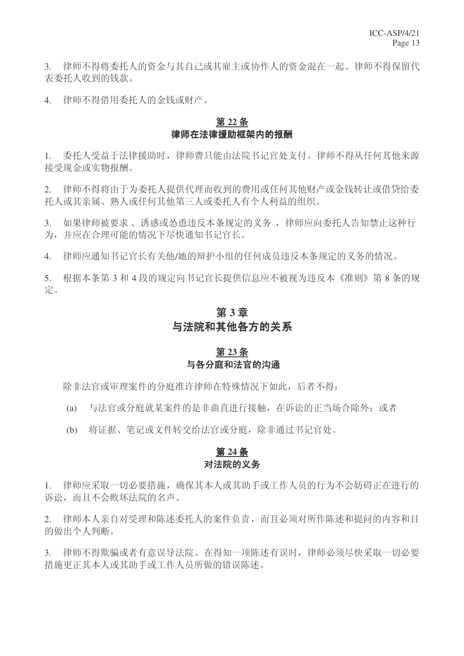3. 律师不得将委托人的资金与其自己或其雇主或协作人的资金混在一起。律师不得保留代 表委托人收到的钱款。

4. 律师不得借用委托人的金钱或财产。

### 第22条 律师在法律粉柜架内的报酬

1. 委托人受益于法律援助时, 律师费只能由法院书记官处支付。律师不得从任何其他来源 接受现金或实物报酬。

2. 律师不得将由于为委托人提供代理而收到的费用或任何其他财产或金钱转让或借贷给委 托人或其亲属、熟人或任何其他第三人或委托人有个人利益的组织。

3. 如果律师被要求、诱惑或怂恿违反本条规定的义务, 律师应向委托人告知禁止这种行 为,并应在合理可能的情况下尽快通知书记官长。

4. 律师应通知书记官长有关他/她的辩护小组的任何成员违反本条规定的义务的情况。

5. 根据本条第3和4段的规定向书记官长提供信息应不被视为违反本《准则》第8条的规 定。

# 第3章 与法院和其他各方的关系

### 第23条 与各分庭和法官的沟通

除非法官或审理案件的分庭准许律师在特殊情况下如此,后者不得:

(a) 与法官或分庭就某案件的是非曲直讲行接触, 在诉讼的正当场合除外: 或者

(b) 将证据、笔记或文件转交给法官或分庭, 除非通过书记官处。

# 第24条 对法院的义务

1. 律师应采取一切必要措施,确保其本人或其助手或工作人员的行为不会妨碍正在进行的 诉讼,而且不会败坏法院的名声。

2. 律师本人亲自对受理和陈述委托人的案件负责,而且必须对所作陈述和提问的内容和目 的做出个人判断。

3. 律师不得欺骗或者有意误导法院。在得知一项陈述有误时,律师必须尽快采取一切必要 措施更正其本人或其助手或工作人员所做的错误陈述。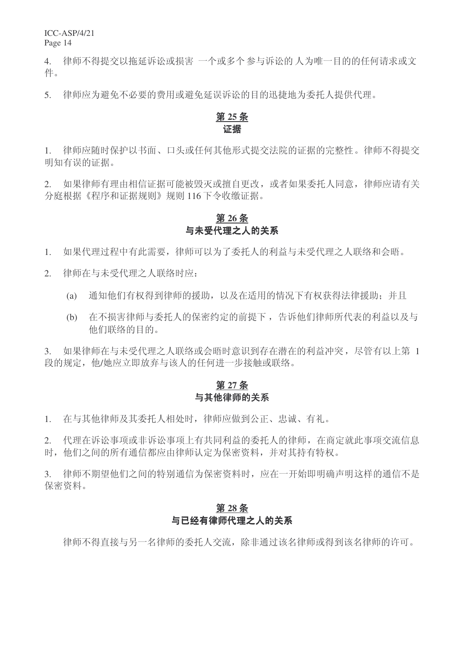4. 律师不得提交以拖延诉讼或损害 一个或多个参与诉讼的人为唯一目的的任何请求或文 件。

5. 律师应为避免不必要的费用或避免延误诉讼的目的迅捷地为委托人提供代理。

# 第25条 证据

1. 律师应随时保护以书面、口头或任何其他形式提交法院的证据的完整性。律师不得提交 明知有误的证据。

2. 如果律师有理由相信证据可能被毁灭或擅自更改, 或者如果委托人同意, 律师应请有关 分庭根据《程序和证据规则》规则 116 下令收缴证据。

# 第26条 与未受代理之人的关系

1. 如果代理过程中有此需要,律师可以为了委托人的利益与未受代理之人联络和会晤。

2. 律师在与未受代理之人联络时应:

- (a) 通知他们有权得到律师的援助, 以及在适用的情况下有权获得法律援助: 并且
- (b) 在不损害律师与委托人的保密约定的前提下, 告诉他们律师所代表的利益以及与 他们联络的目的。

3. 如果律师在与未受代理之人联络或会晤时意识到存在潜在的利益冲突,尽管有以上第 1 段的规定, 他/她应立即放弃与该人的任何讲一步接触或联络。

### 第 27 条 与其他律师的关系

1. 在与其他律师及其委托人相处时, 律师应做到公正、忠诚、有礼。

2. 代理在诉讼事项非诉讼事项上有共同利益的委托人的律师, 在商定就此事项交流信息 时, 他们之间的所有通信都应由律师认定为保密资料, 并对其持有特权。

3. 律师不期望他们之间的特别通信为保密资料时, 应在一开始即明确声明这样的通信不是 保密资料。

# 第28条 与已经有律师代理之人的关系

律师不得直接与另一名律师的委托人交流,除非通过该名律师或得到该名律师的许可。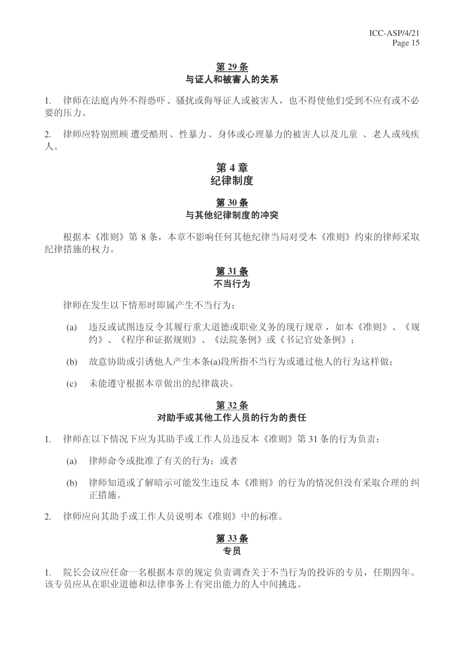# 第29条 与证人和被害人的关系

1. 律师在法庭内外不得恐吓、骚扰或侮辱证人或被害人,也不得使他们受到不应有或不必 要的压力。

2. 律师应特别照顾 遭受酷刑、性暴力、身体或心理暴力的被害人以及儿童、老人或残疾  $\Lambda$ 

# 第4章 纪律制度

### 第30条 与其他纪律制度的冲突

根据本《准则》第8条,本章不影响任何其他纪律当局对受本《准则》约束的律师采取 纪律措施的权力。

# **31** ᴵ 不当行为

律师在发生以下情形时即属产生不当行为:

- (a) 违反或试图违反令其履行重大道德或职业义务的现行规章, 如本《准则》、《规 约》、《程序和证据规则》、《法院条例》或《书记官处条例》:
- (b) 故意协助或引诱他人产生本条(a)段所指不当行为或通过他人的行为这样做;
- (c) 未能遵守根据本章做出的纪律裁决。

# 第32条 对助手或其他工作人员的行为的责任

- 1. 律师在以下情况下应为其助手或工作人员违反本《准则》第31条的行为负责:
	- (a) 律师命令或批准了有关的行为: 或者
	- (b) 律师知道或了解暗示可能发生违反本《准则》的行为的情况但没有采取合理的纠 正措施。
- 2. 律师应向其助手或工作人员说明本《准则》中的标准。

#### <u>第33条</u> 专员

1. 院长会议应任命一名根据本章的规定负责调查关于不当行为的投诉的专员,任期四年。 该专员应从在职业道德和法律事务上有突出能力的人中间挑选。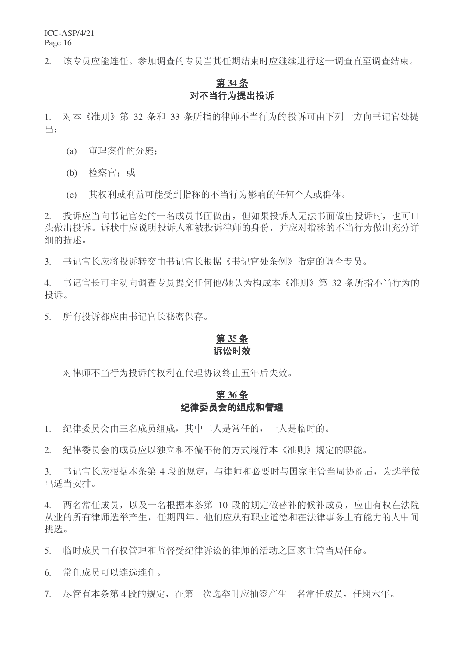2. 该专员应能连任。参加调查的专员当其任期结束时应继续进行这一调查直至调查结束。

# **34** ᴵ 对不当行为提出投诉

1. 对本《准则》第 32 条和 33 条所指的律师不当行为的投诉可由下列一方向书记官处提 ˖ߎ

- (a) 审理案件的分庭:
- (b) 检察官: 或
- (c) 其权利或利益可能受到指称的不当行为影响的任何个人或群体。

2. 投诉应当向书记官处的一名成员书面做出,但如果投诉人无法书面做出投诉时,也可口 头做出投诉中应说明投诉人和被投诉律师的身份,并应对指称的不当行为做出充分详 细的描述。

3. 书记官长应将投诉转交由书记官长根据《书记官处条例》指定的调查专员。

4. 书记官长可主动向调查专员提交任何他/她认为构成本《准则》第 32 条所指不当行为的 投诉。

5. 所有投诉都应由书记官长秘密保存。

# 第35条

### 诉讼时效

对律师不当行为投诉的权利在代理协议终止五年后失效。

### 第36条 纪律委员会的组成和管理

1. 纪律委员会由三名成员组成, 其中二人是常任的, 一人是临时的。

2. 纪律委员会的成员应以独立和不偏不倚的方式履行本《准则》规定的职能。

3. 书记官长应根据本条第 4 段的规定, 与律师和必要时与国家主管当局协商后, 为选举做 出话当安排。

4. 两名常任成员, 以及一名根据本条第 10 段的规定做替补的候补成员, 应由有权在法院 从业的所有律师洗举产生, 任期四年。他们应从有职业道德和在法律事务上有能力的人中间 挑选。

5. 临时成员由有权管理和监督受纪律诉讼的律师的活动之国家主管当局任命。

6. 常任成员可以连选连任。

7. 尽管有本条第4段的规定, 在第一次选举时应抽签产生一名常任成员, 任期六年。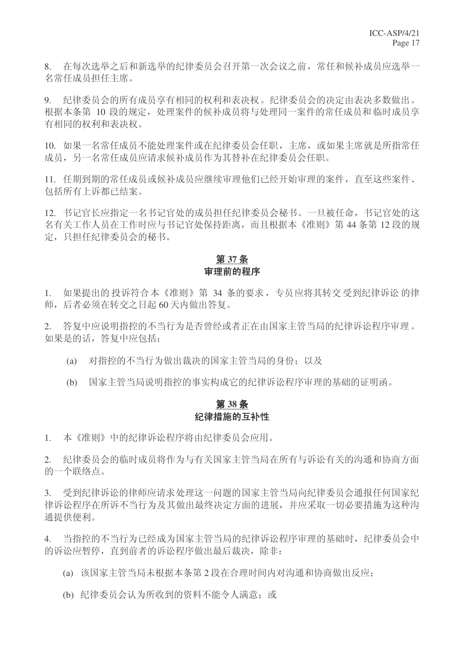8. 在每次选举之后和新选举的纪律委员会召开第一次会议之前,常任和候补成员应选举一 名常仟成员担仟主席。

9. 纪律委员会的所有成员享有相同的权利和表决权。纪律委员会的决定由表决多数做出。 根据本条第 10 段的规定, 处理案件的候补成员将与处理同一案件的常任成员和临时成员享 有相同的权利和表决权。

10. 如果一名常任成员不能处理案件或在纪律委员会任职, 主席, 或如果主席就是所指常任 成员, 另一名常任成员应请求候补成员作为其替补在纪律委员会任职。

11. 任期到期的常任成员或候补成员应继续审理他们已经开始审理的案件, 直至这些案件、 包括所有上诉都已结案。

12. 书记官长应指定一名书记官处的成员担任纪律委员会秘书。一旦被任命, 书记官处的这 名有关工作人员在工作时应与书记官处保持距离,而且根据本《准则》第44条第12段的规 定,只担任纪律委员会的秘书。

### **37** ᴵ 审理前的程序

1. 如果提出的投诉符合本《准则》第 34 条的要求, 专员应将其转交受到纪律诉讼的律 师,后者必须在转交之日起60天内做出答复。

2. 答复中应说明指控的不当行为是否曾经或者正在由国家主管当局的纪律诉讼程序审理。 如果是的话,答复中应包括:

- (a) 对指控的不当行为做出裁决的国家主管当局的身份; 以及
- (b) 国家主管当局说明指控的事实构成它的纪律诉讼程序审理的基础的证明函。

### **38** ᴵ 纪律措施的互补性

1. 本《准则》中的纪律诉讼程序将由纪律委员会应用。

2. 纪律委员会的临时成员将作为与有关国家主管当局在所有与诉讼有关的沟通和协商方面 的一个联络点。

3. 受到纪律诉讼的律师应请求处理这一问题的国家主管当局向纪律委员会通报任何国家纪 律诉讼程序在所诉不当行为及其做出最终决定方面的进展,并应采取一切必要措施为这种沟 通提供便利。

4. 当指控的不当行为已经成为国家主管当局的纪律诉讼程序审理的基础时,纪律委员会中 的诉讼应暂停, 直到前者的诉讼程序做出最后裁决, 除非:

- (a) 该国家主管当局未根据本条第2段在合理时间内对沟通和协商做出反应:
- (b) 纪律委员会认为所收到的资料不能令人满意: 或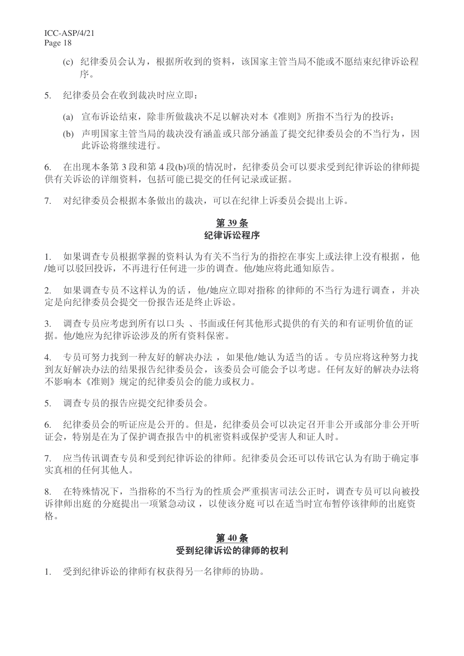- (c) 纪律委员会认为, 根据所收到的资料, 该国家主管当局不能或不愿结束纪律诉讼程 序。
- 5. 纪律委员会在收到裁决时应立即:
	- (a) 宣布诉讼结束, 除非所做裁决不足以解决对本《准则》所指不当行为的投诉:
	- (b) 声明国家主管当局的裁决没有涵盖或只部分涵盖了提交纪律委员会的不当行为, 因 此诉讼将续进行。

6. 在出现本条第3段和第4段(b)项的情况时,纪律委员会可以要求受到纪律诉讼的律师提 供有关诉讼的详细资料,包括可能已提交的任何记录或证据。

7. 对纪律委员会根据本条做出的裁决,可以在纪律上诉委员会提出上诉。

### 第39条 纪律诉讼程序

1. 如果调查专员根据掌握的资料认为有关不当行为的指控在事实上或法律上没有根据,他 /她可以驳回投诉,不再进行任何进一步的调查。他/她应将此通知原告。

2. 如果调查专员不这样认为的话, 他/她应立即对指称的律师的不当行为进行调查, 并决 定是向纪律委员会提交一份报告还是终止诉讼。

3. 调查专员应考虑到所有以口头、书面或任何其他形式提供的有关的和有证明价值的证 据。他/她应为纪律诉讼涉及的所有资料保密。

4. 专员可努力找到一种友好的解决办法, 如果他/她认为适当的话。专员应将这种努力找 到友好解决办法的结果报告纪律委员会,该委员会可能会予以考虑。任何友好的解决办法将 不影响本《准则》规定的纪律委员会的能力或权力。

5. 调查专员的报告应提交纪律委员会。

6. 纪律委员会的听证应是公开的。但是,纪律委员会可以决定召开非公开或部分非公开听 证会,特别是在为了保护调查报告中的机密资料或保护受害人和证人时。

7. 应当传讯调杳专员和受到纪律诉讼的律师。纪律委员会还可以传讯它认为有助于确定事 实真相的任何其他人。

8. 在特殊情况下,当指称的不当行为的性质会严重损害司法公正时,调查专员可以向被投 诉律师出庭的分庭提出一项紧急动议,以使该分庭可以在适当时宣布暂停该律师的出庭资 格。

### 第40条 受到纪律诉讼的律师的权利

1. 受到纪律诉讼的律师有权获得另一名律师的协助。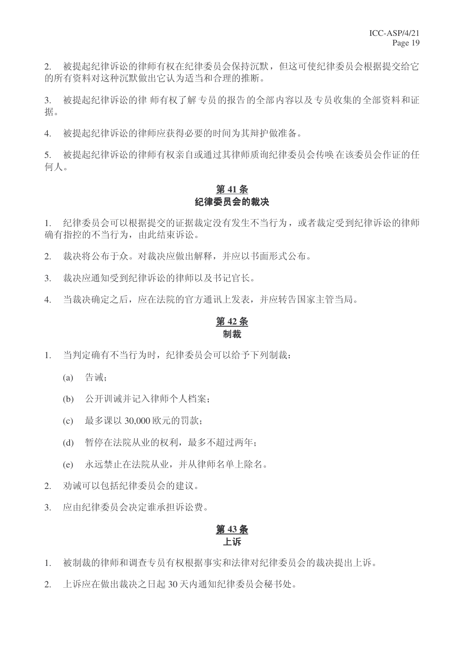2. 被提起纪律诉讼的律师有权在纪律委员会保持沉默,但这可使纪律委员会根据提交给它 的所有资料对这种沉默做出它认为适当和合理的推断。

3. 被提起纪律诉讼的律师有权了解专员的报告的全部内容以及专员收集的全部资料和证 据。

4. 被提起纪律诉讼的律师应获得必要的时间为其辩护做准备。

5. 被提起纪律诉讼的律师有权亲自或通过其律师质询纪律委员会传唤在该委员会作证的任 何人。

# 第41条 纪律委员会的裁决

1. 纪律委员会可以根据提交的证据裁定没有发生不当行为, 或者裁定受到纪律诉讼的律师 确有指控的不当行为, 由此结束诉讼。

- 2. 裁决将公布于众。对裁决应做出解释,并应以书面形式公布。
- 3. 裁决应通知受到纪律诉讼的律师以及书记官长。
- 4. 当裁决确定之后, 应在法院的官方通讯上发表, 并应转告国家主管当局。

### 第42条 制裁

- 1. 当判定确有不当行为时,纪律委员会可以给予下列制裁:
	- $(a)$  告诫:
	- (b) 公开训诫并记入律师个人档案:
	- (c) 最多课以 30,000 欧元的罚款;
	- (d) 暂停在法院从业的权利, 最多不超过两年:
	- (e) 永远禁止在法院从业,并从律师名单上除名。
- 2. 劝诫可以包括纪律委员会的建议。
- 3. 应由纪律委员会决定谁承担诉讼费。

### 第43条 卜诉

- 1. 被制裁的律师和调查专员有权根据事实和法律对纪律委员会的裁决提出上诉。
- 2. 上诉应在做出裁决之日起 30 天内通知纪律委员会秘书处。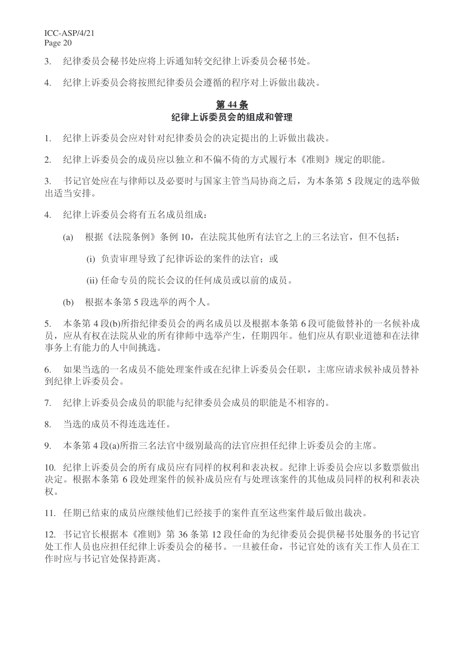3. 纪律委员会秘书处应将上诉通知转交纪律上诉委员会秘书处。

4. 纪律上诉委员会将按照纪律委员会遵循的程序对上诉做出裁决。

### 第44条 纪律上诉委员会的组成和管理

1. 纪律上诉委员会应对针对纪律委员会的决定提出的上诉做出裁决。

2. 纪律上诉委员会的成员应以独立和不偏不倚的方式履行本《准则》规定的职能。

3. 书记官处应在与律师以及必要时与国家主管当局协商之后, 为本条第5 段规定的选举做 出适当安排。

4. 纪律上诉委员会将有五名成员组成:

(a) 根据《法院条例》条例 10, 在法院其他所有法官之上的三名法官, 但不包括:

- (i) 负责审理导致了纪律诉讼的案件的法官: 或
- (ii) 任命专员的院长会议的任何成员或以前的成员。
- (b) 根据本条第5 段选举的两个人。

5. 本条第4段(b)所指纪律委员会的两名成员以及根据本条第6段可能做替补的一名候补成 员, 应从有权在法院从业的所有律师中选举产生, 任期四年。他们应从有职业道德和在法律 事务上有能力的人中间挑选。

6. 如果当选的一名成员不能处理案件或在纪律上诉委员会任职, 主席应请求候补成员替补 到纪律上诉委员会。

7. 纪律上诉委员会成员的职能与纪律委员会成员的职能是不相容的。

8. 当洗的成员不得连洗连仟。

9. 本条第4段(a)所指三名法官中级别最高的法官应担任纪律上诉委员会的主席。

10. 纪律上诉委员会的所有成员应有同样的权利和表决权。纪律上诉委员会应以多数票做出 决定。根据本条第6段处理案件的候补成员应有与处理该案件的其他成员同样的权利和表决 权。

11. 任期已结束的成员应继续他们已经接手的案件直至这些案件最后做出裁决。

12. 书记官长根据本《准则》第36条第12 段任命的为纪律委员会提供秘书处服务的书记官 处工作人员也应担任还经验的一种状态。但是被任命,书记官处的该有关工作人员在工 作时应与书记官处保持距离。